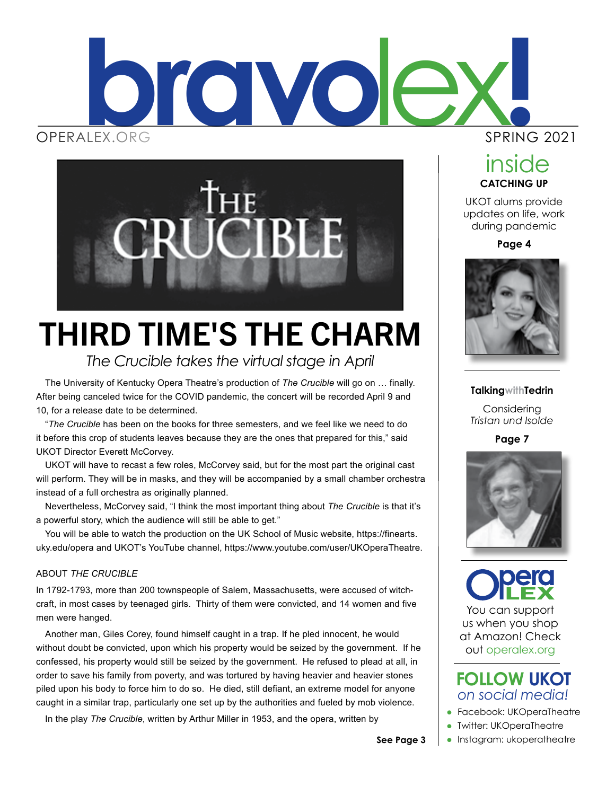



## THIRD TIME'S THE CHARM

*The Crucible takes the virtual stage in April*

The University of Kentucky Opera Theatre's production of *The Crucible* will go on … finally. After being canceled twice for the COVID pandemic, the concert will be recorded April 9 and 10, for a release date to be determined.

"*The Crucible* has been on the books for three semesters, and we feel like we need to do it before this crop of students leaves because they are the ones that prepared for this," said UKOT Director Everett McCorvey.

UKOT will have to recast a few roles, McCorvey said, but for the most part the original cast will perform. They will be in masks, and they will be accompanied by a small chamber orchestra instead of a full orchestra as originally planned.

Nevertheless, McCorvey said, "I think the most important thing about *The Crucible* is that it's a powerful story, which the audience will still be able to get."

You will be able to watch the production on the UK School of Music website, https://finearts. uky.edu/opera and UKOT's YouTube channel, https://www.youtube.com/user/UKOperaTheatre.

#### ABOUT *THE CRUCIBLE*

In 1792-1793, more than 200 townspeople of Salem, Massachusetts, were accused of witchcraft, in most cases by teenaged girls. Thirty of them were convicted, and 14 women and five men were hanged.

Another man, Giles Corey, found himself caught in a trap. If he pled innocent, he would without doubt be convicted, upon which his property would be seized by the government. If he confessed, his property would still be seized by the government. He refused to plead at all, in order to save his family from poverty, and was tortured by having heavier and heavier stones piled upon his body to force him to do so. He died, still defiant, an extreme model for anyone caught in a similar trap, particularly one set up by the authorities and fueled by mob violence.

In the play *The Crucible*, written by Arthur Miller in 1953, and the opera, written by

#### SPRING 2021

**CATCHING UP** inside

UKOT alums provide updates on life, work during pandemic

**Page 4**



#### **TalkingwithTedrin**

Considering *Tristan und Isolde*

**Page 7**



You can support us when you shop at Amazon! Check out operalex.org

#### *on social media!* **FOLLOW UKOT**

- **•** Facebook: UKOperaTheatre
- **I** Twitter: UKOperaTheatre
- Instagram: ukoperatheatre

**See Page 3**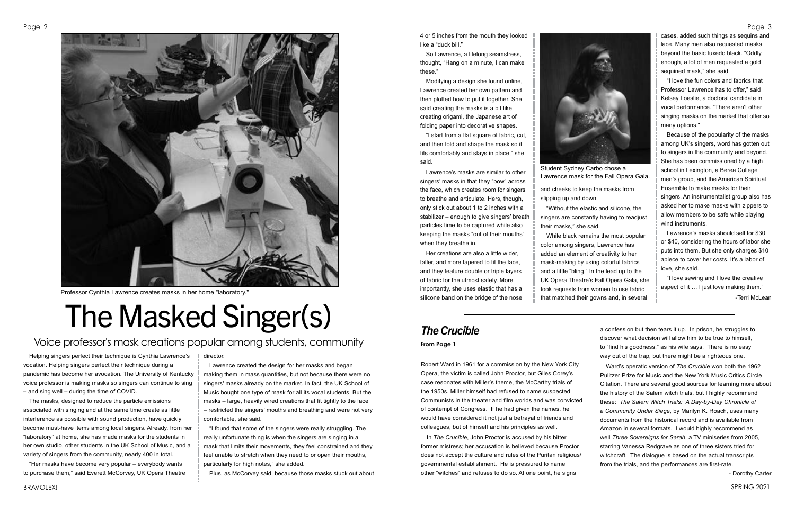SPRING 2021

#### Page 3

Robert Ward in 1961 for a commission by the New York City Opera, the victim is called John Proctor, but Giles Corey's case resonates with Miller's theme, the McCarthy trials of the 1950s. Miller himself had refused to name suspected Communists in the theater and film worlds and was convicted of contempt of Congress. If he had given the names, he would have considered it not just a betrayal of friends and colleagues, but of himself and his principles as well.

In *The Crucible*, John Proctor is accused by his bitter former mistress; her accusation is believed because Proctor does not accept the culture and rules of the Puritan religious/ governmental establishment. He is pressured to name other "witches" and refuses to do so. At one point, he signs

a confession but then tears it up. In prison, he struggles to discover what decision will allow him to be true to himself, to "find his goodness," as his wife says. There is no easy way out of the trap, but there might be a righteous one.

Ward's operatic version of *The Crucible* won both the 1962 Pulitzer Prize for Music and the New York Music Critics Circle Citation. There are several good sources for learning more about the history of the Salem witch trials, but I highly recommend these: *The Salem Witch Trials: A Day-by-Day Chronicle of a Community Under Siege*, by Marilyn K. Roach, uses many documents from the historical record and is available from Amazon in several formats. I would highly recommend as well *Three Sovereigns for Sarah*, a TV miniseries from 2005, starring Vanessa Redgrave as one of three sisters tried for witchcraft. The dialogue is based on the actual transcripts from the trials, and the performances are first-rate.

- Dorothy Carter

4 or 5 inches from the mouth they looked like a "duck bill."

So Lawrence, a lifelong seamstress, thought, "Hang on a minute, I can make these."

Modifying a design she found online, Lawrence created her own pattern and then plotted how to put it together. She said creating the masks is a bit like creating origami, the Japanese art of folding paper into decorative shapes.

"I start from a flat square of fabric, cut, and then fold and shape the mask so it fits comfortably and stays in place," she said.

Lawrence's masks are similar to other singers' masks in that they "bow" across the face, which creates room for singers to breathe and articulate. Hers, though, only stick out about 1 to 2 inches with a stabilizer – enough to give singers' breath particles time to be captured while also keeping the masks "out of their mouths" when they breathe in.

Her creations are also a little wider, taller, and more tapered to fit the face, and they feature double or triple layers of fabric for the utmost safety. More importantly, she uses elastic that has a silicone band on the bridge of the nose and cheeks to keep the masks from slipping up and down.

"Without the elastic and silicone, the singers are constantly having to readjust their masks," she said.

While black remains the most popular color among singers, Lawrence has added an element of creativity to her mask-making by using colorful fabrics and a little "bling." In the lead up to the UK Opera Theatre's Fall Opera Gala, she took requests from women to use fabric that matched their gowns and, in several

cases, added such things as sequins and lace. Many men also requested masks beyond the basic tuxedo black. "Oddly enough, a lot of men requested a gold sequined mask," she said.

"I love the fun colors and fabrics that Professor Lawrence has to offer," said Kelsey Loeslie, a doctoral candidate in vocal performance. "There aren't other singing masks on the market that offer so many options."

Because of the popularity of the masks among UK's singers, word has gotten out to singers in the community and beyond. She has been commissioned by a high school in Lexington, a Berea College men's group, and the American Spiritual Ensemble to make masks for their singers. An instrumentalist group also has asked her to make masks with zippers to allow members to be safe while playing wind instruments.

Lawrence's masks should sell for \$30 or \$40, considering the hours of labor she puts into them. But she only charges \$10 apiece to cover her costs. It's a labor of love, she said.

"I love sewing and I love the creative aspect of it … I just love making them." -Terri McLean

Helping singers perfect their technique is Cynthia Lawrence's vocation. Helping singers perfect their technique during a pandemic has become her avocation. The University of Kentucky voice professor is making masks so singers can continue to sing – and sing well – during the time of COVID.

The masks, designed to reduce the particle emissions associated with singing and at the same time create as little interference as possible with sound production, have quickly become must-have items among local singers. Already, from her "laboratory" at home, she has made masks for the students in her own studio, other students in the UK School of Music, and a variety of singers from the community, nearly 400 in total.

"Her masks have become very popular – everybody wants to purchase them," said Everett McCorvey, UK Opera Theatre

#### director.

Lawrence created the design for her masks and began making them in mass quantities, but not because there were no singers' masks already on the market. In fact, the UK School of Music bought one type of mask for all its vocal students. But the masks – large, heavily wired creations that fit tightly to the face – restricted the singers' mouths and breathing and were not very comfortable, she said.

"I found that some of the singers were really struggling. The really unfortunate thing is when the singers are singing in a mask that limits their movements, they feel constrained and they feel unable to stretch when they need to or open their mouths, particularly for high notes," she added.

Plus, as McCorvey said, because those masks stuck out about

# The Masked Singer(s)

#### Voice professor's mask creations popular among students, community



Professor Cynthia Lawrence creates masks in her home "laboratory."



Student Sydney Carbo chose a Lawrence mask for the Fall Opera Gala.

## *The Crucible*

**From Page 1**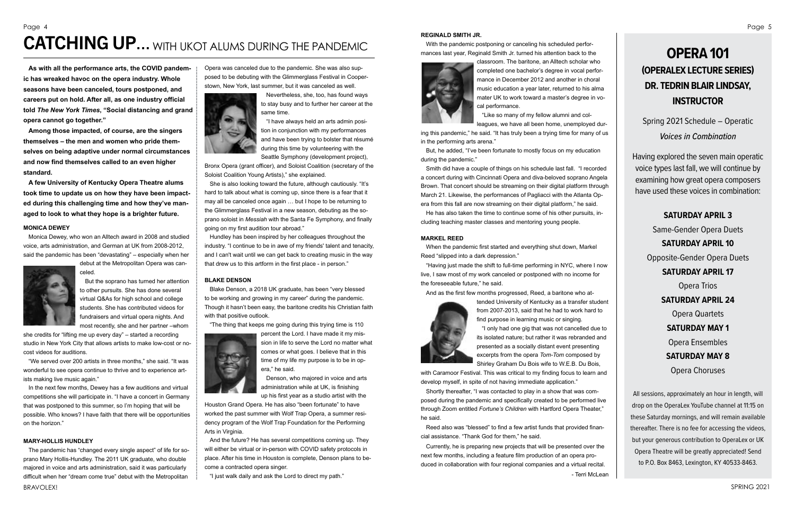## Page 4 ERGINALD SMITH JR.<br>CATCHING UP... WITH UKOT ALUMS DURING THE PANDEMIC With the pandemic pos

**As with all the performance arts, the COVID pandemic has wreaked havoc on the opera industry. Whole seasons have been canceled, tours postponed, and careers put on hold. After all, as one industry official told** *The New York Times***, "Social distancing and grand opera cannot go together."**

**Among those impacted, of course, are the singers themselves – the men and women who pride themselves on being adaptive under normal circumstances and now find themselves called to an even higher standard.**

**A few University of Kentucky Opera Theatre alums took time to update us on how they have been impacted during this challenging time and how they've managed to look to what they hope is a brighter future.**

#### **MONICA DEWEY**

Monica Dewey, who won an Alltech award in 2008 and studied voice, arts administration, and German at UK from 2008-2012, said the pandemic has been "devastating" – especially when her



debut at the Metropolitan Opera was canceled. But the soprano has turned her attention

to other pursuits. She has done several virtual Q&As for high school and college students. She has contributed videos for fundraisers and virtual opera nights. And most recently, she and her partner –whom

she credits for "lifting me up every day" – started a recording studio in New York City that allows artists to make low-cost or nocost videos for auditions.

"We served over 200 artists in three months," she said. "It was wonderful to see opera continue to thrive and to experience artists making live music again."

In the next few months, Dewey has a few auditions and virtual competitions she will participate in. "I have a concert in Germany that was postponed to this summer, so I'm hoping that will be possible. Who knows? I have faith that there will be opportunities on the horizon."

#### **MARY-HOLLIS HUNDLEY**

The pandemic has "changed every single aspect" of life for soprano Mary Hollis-Hundley. The 2011 UK graduate, who double majored in voice and arts administration, said it was particularly difficult when her "dream come true" debut with the Metropolitan

Opera was canceled due to the pandemic. She was also supposed to be debuting with the Glimmerglass Festival in Cooperstown, New York, last summer, but it was canceled as well.



Nevertheless, she, too, has found ways to stay busy and to further her career at the same time.

"I have always held an arts admin position in conjunction with my performances and have been trying to bolster that résumé during this time by volunteering with the Seattle Symphony (development project),

Bronx Opera (grant officer), and Soloist Coalition (secretary of the Soloist Coalition Young Artists)," she explained.

She is also looking toward the future, although cautiously. "It's hard to talk about what is coming up, since there is a fear that it may all be canceled once again … but I hope to be returning to the Glimmerglass Festival in a new season, debuting as the soprano soloist in *Messiah* with the Santa Fe Symphony, and finally going on my first audition tour abroad."

Hundley has been inspired by her colleagues throughout the industry. "I continue to be in awe of my friends' talent and tenacity, and I can't wait until we can get back to creating music in the way that drew us to this artform in the first place - in person."

#### **BLAKE DENSON**

Blake Denson, a 2018 UK graduate, has been "very blessed to be working and growing in my career" during the pandemic. Though it hasn't been easy, the baritone credits his Christian faith with that positive outlook.

"The thing that keeps me going during this trying time is 110



percent the Lord. I have made it my mission in life to serve the Lord no matter what comes or what goes. I believe that in this time of my life my purpose is to be in opera," he said.

Denson, who majored in voice and arts administration while at UK, is finishing up his first year as a studio artist with the

Houston Grand Opera. He has also "been fortunate" to have worked the past summer with Wolf Trap Opera, a summer residency program of the Wolf Trap Foundation for the Performing Arts in Virginia.

And the future? He has several competitions coming up. They will either be virtual or in-person with COVID safety protocols in place. After his time in Houston is complete, Denson plans to become a contracted opera singer.

"I just walk daily and ask the Lord to direct my path."

With the pandemic postponing or canceling his scheduled performances last year, Reginald Smith Jr. turned his attention back to the



classroom. The baritone, an Alltech scholar who completed one bachelor's degree in vocal performance in December 2012 and another in choral music education a year later, returned to his alma mater UK to work toward a master's degree in vocal performance.

"Like so many of my fellow alumni and colleagues, we have all been home, unemployed dur-

ing this pandemic," he said. "It has truly been a trying time for many of us in the performing arts arena."

But, he added, "I've been fortunate to mostly focus on my education during the pandemic."

Smith did have a couple of things on his schedule last fall. "I recorded a concert during with Cincinnati Opera and diva-beloved soprano Angela Brown. That concert should be streaming on their digital platform through March 21. Likewise, the performances of Pagliacci with the Atlanta Opera from this fall are now streaming on their digital platform," he said.

He has also taken the time to continue some of his other pursuits, including teaching master classes and mentoring young people.

#### **MARKEL REED**

When the pandemic first started and everything shut down, Markel Reed "slipped into a dark depression."

"Having just made the shift to full-time performing in NYC, where I now live, I saw most of my work canceled or postponed with no income for the foreseeable future," he said.

And as the first few months progressed, Reed, a baritone who at-



tended University of Kentucky as a transfer student from 2007-2013, said that he had to work hard to find purpose in learning music or singing.

"I only had one gig that was not cancelled due to its isolated nature; but rather it was rebranded and presented as a socially distant event presenting excerpts from the opera *Tom-Tom* composed by Shirley Graham Du Bois wife to W.E.B. Du Bois,

with Caramoor Festival. This was critical to my finding focus to learn and develop myself, in spite of not having immediate application."

Shortly thereafter, "I was contacted to play in a show that was composed during the pandemic and specifically created to be performed live through Zoom entitled *Fortune's Children* with Hartford Opera Theater," he said.

Reed also was "blessed" to find a few artist funds that provided financial assistance. "Thank God for them," he said.

Currently, he is preparing new projects that will be presented over the next few months, including a feature film production of an opera produced in collaboration with four regional companies and a virtual recital. - Terri McLean

### **OPERA 101 (OPERALEX LECTURE SERIES) DR. TEDRIN BLAIR LINDSAY, INSTRUCTOR**

Spring 2021 Schedule – Operatic

*Voices in Combination*

Having explored the seven main operatic voice types last fall, we will continue by examining how great opera composers have used these voices in combination:

#### **SATURDAY APRIL 3**

Same-Gender Opera Duets **SATURDAY APRIL 10**

Opposite-Gender Opera Duets

**SATURDAY APRIL 17**

Opera Trios **SATURDAY APRIL 24** Opera Quartets **SATURDAY MAY 1**

Opera Ensembles

#### **SATURDAY MAY 8**

Opera Choruses

All sessions, approximately an hour in length, will drop on the OperaLex YouTube channel at 11:15 on these Saturday mornings, and will remain available thereafter. There is no fee for accessing the videos, but your generous contribution to OperaLex or UK Opera Theatre will be greatly appreciated! Send to P.O. Box 8463, Lexington, KY 40533-8463.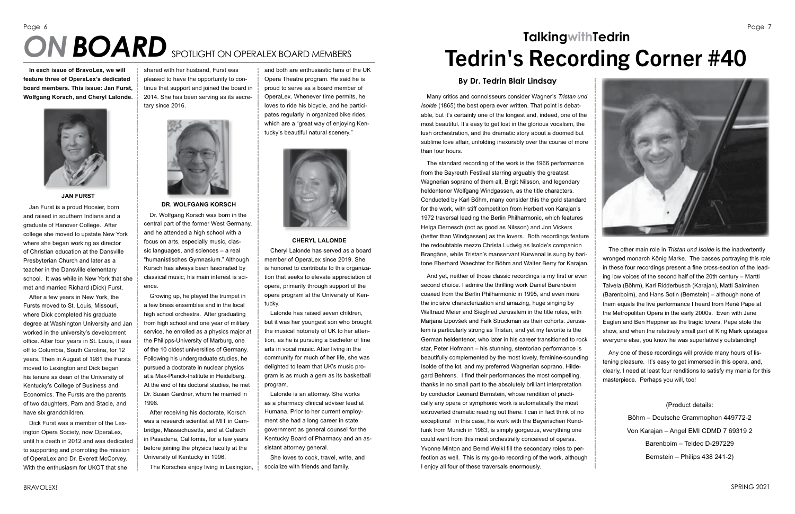# Page 6



SPRING 2021

Many critics and connoisseurs consider Wagner's *Tristan und Isolde* (1865) the best opera ever written. That point is debatable, but it's certainly one of the longest and, indeed, one of the most beautiful. It's easy to get lost in the glorious vocalism, the lush orchestration, and the dramatic story about a doomed but sublime love affair, unfolding inexorably over the course of more than four hours.

The standard recording of the work is the 1966 performance from the Bayreuth Festival starring arguably the greatest Wagnerian soprano of them all, Birgit Nilsson, and legendary heldentenor Wolfgang Windgassen, as the title characters. Conducted by Karl Böhm, many consider this the gold standard for the work, with stiff competition from Herbert von Karajan's 1972 traversal leading the Berlin Philharmonic, which features Helga Dernesch (not as good as Nilsson) and Jon Vickers (better than Windgassen) as the lovers. Both recordings feature the redoubtable mezzo Christa Ludwig as Isolde's companion Brangäne, while Tristan's manservant Kurwenal is sung by baritone Eberhard Waechter for Böhm and Walter Berry for Karajan.

## **TalkingwithTedrin ON BOARD** SPOTLIGHT ON OPERALEX BOARD MEMBERS **Tedrin's Recording Corner #40**

And yet, neither of those classic recordings is my first or even second choice. I admire the thrilling work Daniel Barenboim coaxed from the Berlin Philharmonic in 1995, and even more the incisive characterization and amazing, huge singing by Waltraud Meier and Siegfried Jerusalem in the title roles, with Marjana Lipovšek and Falk Struckman as their cohorts. Jerusalem is particularly strong as Tristan, and yet my favorite is the German heldentenor, who later in his career transitioned to rock star, Peter Hofmann – his stunning, stentorian performance is beautifully complemented by the most lovely, feminine-sounding Isolde of the lot, and my preferred Wagnerian soprano, Hildegard Behrens. I find their performances the most compelling, thanks in no small part to the absolutely brilliant interpretation by conductor Leonard Bernstein, whose rendition of practically any opera or symphonic work is automatically the most extroverted dramatic reading out there: I can in fact think of no exceptions! In this case, his work with the Bayerischen Rundfunk from Munich in 1983, is simply gorgeous, everything one could want from this most orchestrally conceived of operas. Yvonne Minton and Bernd Weikl fill the secondary roles to perfection as well. This is my go-to recording of the work, although I enjoy all four of these traversals enormously.

The other main role in *Tristan und Isolde* is the inadvertently wronged monarch König Marke. The basses portraying this role in these four recordings present a fine cross-section of the leading low voices of the second half of the 20th century – Martti Talvela (Böhm), Karl Ridderbusch (Karajan), Matti Salminen (Barenboim), and Hans Sotin (Bernstein) – although none of them equals the live performance I heard from René Pape at the Metropolitan Opera in the early 2000s. Even with Jane Eaglen and Ben Heppner as the tragic lovers, Pape stole the show, and when the relatively small part of King Mark upstages everyone else, you know he was superlatively outstanding!

Any one of these recordings will provide many hours of listening pleasure. It's easy to get immersed in this opera, and, clearly, I need at least four renditions to satisfy my mania for this masterpiece. Perhaps you will, too!

(Product details:

Böhm – Deutsche Grammophon 449772-2 Von Karajan – Angel EMI CDMD 7 69319 2 Barenboim – Teldec D-297229 Bernstein – Philips 438 241-2)

#### **By Dr. Tedrin Blair Lindsay**

**In each issue of BravoLex, we will feature three of OperaLex's dedicated board members. This issue: Jan Furst, Wolfgang Korsch, and Cheryl Lalonde.**



**JAN FURST**

Jan Furst is a proud Hoosier, born and raised in southern Indiana and a graduate of Hanover College. After college she moved to upstate New York where she began working as director of Christian education at the Dansville Presbyterian Church and later as a teacher in the Dansville elementary school. It was while in New York that she met and married Richard (Dick) Furst.

After a few years in New York, the Fursts moved to St. Louis, Missouri, where Dick completed his graduate degree at Washington University and Jan worked in the university's development office. After four years in St. Louis, it was off to Columbia, South Carolina, for 12 years. Then in August of 1981 the Fursts moved to Lexington and Dick began his tenure as dean of the University of Kentucky's College of Business and Economics. The Fursts are the parents of two daughters, Pam and Stacie, and have six grandchildren.

Dick Furst was a member of the Lexington Opera Society, now OperaLex, until his death in 2012 and was dedicated to supporting and promoting the mission of OperaLex and Dr. Everett McCorvey. With the enthusiasm for UKOT that she

shared with her husband, Furst was pleased to have the opportunity to continue that support and joined the board in 2014. She has been serving as its secretary since 2016.



**DR. WOLFGANG KORSCH**

Dr. Wolfgang Korsch was born in the central part of the former West Germany, and he attended a high school with a focus on arts, especially music, classic languages, and sciences – a real "humanistisches Gymnasium." Although Korsch has always been fascinated by classical music, his main interest is science.

Growing up, he played the trumpet in a few brass ensembles and in the local high school orchestra. After graduating from high school and one year of military service, he enrolled as a physics major at the Philipps-University of Marburg, one of the 10 oldest universities of Germany. Following his undergraduate studies, he pursued a doctorate in nuclear physics at a Max-Planck-Institute in Heidelberg. At the end of his doctoral studies, he met Dr. Susan Gardner, whom he married in 1998.

After receiving his doctorate, Korsch was a research scientist at MIT in Cambridge, Massachusetts, and at Caltech in Pasadena, California, for a few years before joining the physics faculty at the University of Kentucky in 1996.

The Korsches enjoy living in Lexington,

and both are enthusiastic fans of the UK Opera Theatre program. He said he is proud to serve as a board member of OperaLex. Whenever time permits, he loves to ride his bicycle, and he participates regularly in organized bike rides, which are a "great way of enjoying Kentucky's beautiful natural scenery."



**CHERYL LALONDE**

Cheryl Lalonde has served as a board member of OperaLex since 2019. She is honored to contribute to this organization that seeks to elevate appreciation of opera, primarily through support of the opera program at the University of Kentucky.

Lalonde has raised seven children, but it was her youngest son who brought the musical notoriety of UK to her attention, as he is pursuing a bachelor of fine arts in vocal music. After living in the community for much of her life, she was delighted to learn that UK's music program is as much a gem as its basketball program.

Lalonde is an attorney. She works as a pharmacy clinical adviser lead at Humana. Prior to her current employment she had a long career in state government as general counsel for the Kentucky Board of Pharmacy and an assistant attorney general.

She loves to cook, travel, write, and socialize with friends and family.